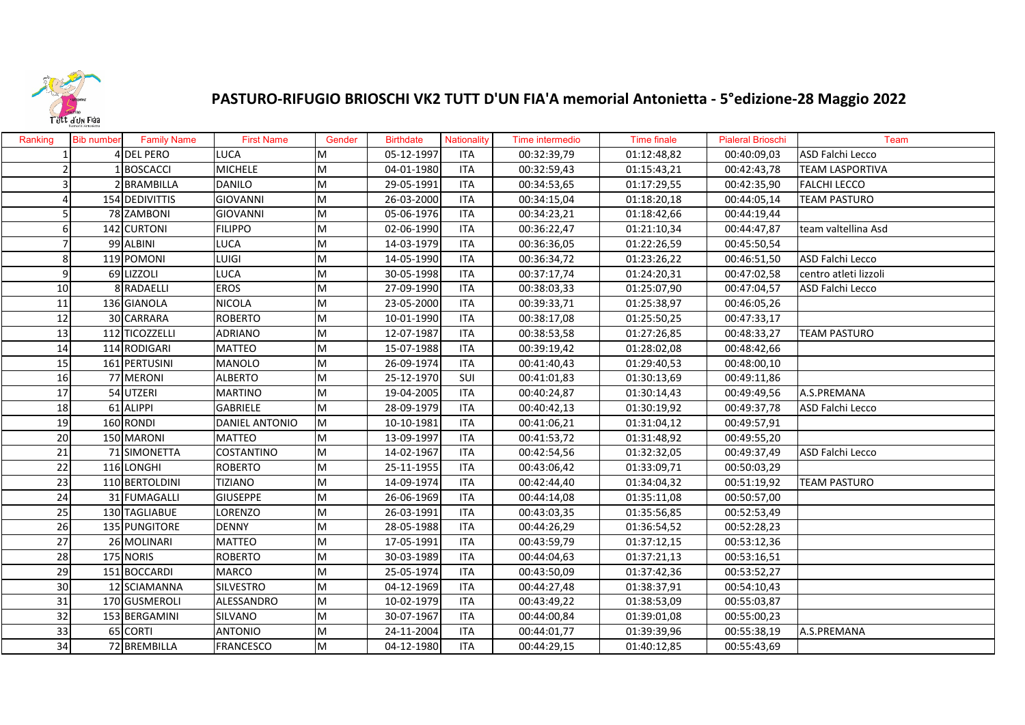

## **PASTURO‐RIFUGIO BRIOSCHI VK2 TUTT D'UN FIA'A memorial Antonietta ‐ 5°edizione‐28 Maggio 2022**

| Ranking         | <b>Bib number</b> | <b>Family Name</b> | <b>First Name</b>     | Gender    | <b>Birthdate</b> | Nationality | Time intermedio | Time finale | <b>Pialeral Brioschi</b> | Team                    |
|-----------------|-------------------|--------------------|-----------------------|-----------|------------------|-------------|-----------------|-------------|--------------------------|-------------------------|
|                 |                   | 4 DEL PERO         | <b>LUCA</b>           | M         | 05-12-1997       | <b>ITA</b>  | 00:32:39,79     | 01:12:48,82 | 00:40:09,03              | ASD Falchi Lecco        |
| 2               |                   | <b>BOSCACCI</b>    | <b>MICHELE</b>        | M         | 04-01-1980       | <b>ITA</b>  | 00:32:59,43     | 01:15:43,21 | 00:42:43,78              | <b>TEAM LASPORTIVA</b>  |
| $\overline{3}$  |                   | 2 BRAMBILLA        | <b>DANILO</b>         | M         | 29-05-1991       | <b>ITA</b>  | 00:34:53,65     | 01:17:29,55 | 00:42:35,90              | <b>FALCHI LECCO</b>     |
|                 |                   | 154 DEDIVITTIS     | <b>GIOVANNI</b>       | M         | 26-03-2000       | <b>ITA</b>  | 00:34:15,04     | 01:18:20,18 | 00:44:05,14              | <b>TEAM PASTURO</b>     |
|                 |                   | 78 ZAMBONI         | GIOVANNI              | M         | 05-06-1976       | <b>ITA</b>  | 00:34:23,21     | 01:18:42,66 | 00:44:19,44              |                         |
| 6               |                   | 142 CURTONI        | <b>FILIPPO</b>        | ${\sf M}$ | 02-06-1990       | <b>ITA</b>  | 00:36:22,47     | 01:21:10,34 | 00:44:47,87              | team valtellina Asd     |
|                 |                   | 99 ALBINI          | <b>LUCA</b>           | M         | 14-03-1979       | <b>ITA</b>  | 00:36:36,05     | 01:22:26,59 | 00:45:50,54              |                         |
| 8               |                   | 119 POMONI         | LUIGI                 | M         | 14-05-1990       | <b>ITA</b>  | 00:36:34,72     | 01:23:26,22 | 00:46:51,50              | ASD Falchi Lecco        |
| 9               |                   | 69 LIZZOLI         | <b>LUCA</b>           | M         | 30-05-1998       | <b>ITA</b>  | 00:37:17,74     | 01:24:20,31 | 00:47:02,58              | centro atleti lizzoli   |
| 10              |                   | 8 RADAELLI         | <b>EROS</b>           | M         | 27-09-1990       | <b>ITA</b>  | 00:38:03,33     | 01:25:07,90 | 00:47:04,57              | <b>ASD Falchi Lecco</b> |
| 11              |                   | 136 GIANOLA        | <b>NICOLA</b>         | M         | 23-05-2000       | <b>ITA</b>  | 00:39:33,71     | 01:25:38,97 | 00:46:05,26              |                         |
| 12              |                   | 30 CARRARA         | <b>ROBERTO</b>        | M         | 10-01-1990       | <b>ITA</b>  | 00:38:17,08     | 01:25:50,25 | 00:47:33,17              |                         |
| 13              |                   | 112 TICOZZELLI     | <b>ADRIANO</b>        | M         | 12-07-1987       | <b>ITA</b>  | 00:38:53,58     | 01:27:26,85 | 00:48:33,27              | <b>TEAM PASTURO</b>     |
| 14              |                   | 114 RODIGARI       | <b>MATTEO</b>         | M         | 15-07-1988       | <b>ITA</b>  | 00:39:19,42     | 01:28:02,08 | 00:48:42,66              |                         |
| 15              |                   | 161 PERTUSINI      | <b>MANOLO</b>         | M         | 26-09-1974       | <b>ITA</b>  | 00:41:40,43     | 01:29:40,53 | 00:48:00,10              |                         |
| 16              |                   | 77 MERONI          | <b>ALBERTO</b>        | M         | 25-12-1970       | SUI         | 00:41:01,83     | 01:30:13,69 | 00:49:11,86              |                         |
| 17              |                   | 54 UTZERI          | <b>MARTINO</b>        | M         | 19-04-2005       | <b>ITA</b>  | 00:40:24,87     | 01:30:14,43 | 00:49:49,56              | A.S.PREMANA             |
| 18              |                   | 61 ALIPPI          | <b>GABRIELE</b>       | M         | 28-09-1979       | <b>ITA</b>  | 00:40:42,13     | 01:30:19,92 | 00:49:37,78              | <b>ASD Falchi Lecco</b> |
| 19              |                   | 160 RONDI          | <b>DANIEL ANTONIO</b> | ${\sf M}$ | 10-10-1981       | ITA         | 00:41:06,21     | 01:31:04,12 | 00:49:57,91              |                         |
| 20              |                   | 150 MARONI         | <b>MATTEO</b>         | M         | 13-09-1997       | <b>ITA</b>  | 00:41:53,72     | 01:31:48,92 | 00:49:55,20              |                         |
| 21              |                   | 71 SIMONETTA       | <b>COSTANTINO</b>     | M         | 14-02-1967       | <b>ITA</b>  | 00:42:54,56     | 01:32:32,05 | 00:49:37,49              | <b>ASD Falchi Lecco</b> |
| $\overline{22}$ |                   | 116 LONGHI         | <b>ROBERTO</b>        | M         | 25-11-1955       | <b>ITA</b>  | 00:43:06,42     | 01:33:09,71 | 00:50:03,29              |                         |
| 23              |                   | 110 BERTOLDINI     | <b>TIZIANO</b>        | M         | 14-09-1974       | <b>ITA</b>  | 00:42:44,40     | 01:34:04,32 | 00:51:19,92              | <b>TEAM PASTURO</b>     |
| 24              |                   | 31 FUMAGALLI       | <b>GIUSEPPE</b>       | M         | 26-06-1969       | <b>ITA</b>  | 00:44:14,08     | 01:35:11,08 | 00:50:57,00              |                         |
| 25              |                   | 130 TAGLIABUE      | LORENZO               | M         | 26-03-1991       | <b>ITA</b>  | 00:43:03,35     | 01:35:56,85 | 00:52:53,49              |                         |
| 26              |                   | 135 PUNGITORE      | <b>DENNY</b>          | M         | 28-05-1988       | <b>ITA</b>  | 00:44:26,29     | 01:36:54,52 | 00:52:28,23              |                         |
| 27              |                   | 26 MOLINARI        | <b>MATTEO</b>         | M         | 17-05-1991       | <b>ITA</b>  | 00:43:59,79     | 01:37:12,15 | 00:53:12,36              |                         |
| 28              |                   | 175 NORIS          | <b>ROBERTO</b>        | M         | 30-03-1989       | <b>ITA</b>  | 00:44:04,63     | 01:37:21,13 | 00:53:16,51              |                         |
| 29              |                   | 151 BOCCARDI       | <b>MARCO</b>          | M         | 25-05-1974       | <b>ITA</b>  | 00:43:50,09     | 01:37:42,36 | 00:53:52,27              |                         |
| 30              |                   | 12 SCIAMANNA       | <b>SILVESTRO</b>      | M         | 04-12-1969       | <b>ITA</b>  | 00:44:27,48     | 01:38:37,91 | 00:54:10,43              |                         |
| 31              |                   | 170 GUSMEROLI      | <b>ALESSANDRO</b>     | M         | 10-02-1979       | <b>ITA</b>  | 00:43:49,22     | 01:38:53,09 | 00:55:03,87              |                         |
| 32              |                   | 153 BERGAMINI      | SILVANO               | M         | 30-07-1967       | ITA         | 00:44:00,84     | 01:39:01,08 | 00:55:00,23              |                         |
| 33              |                   | 65 CORTI           | <b>ANTONIO</b>        | M         | 24-11-2004       | <b>ITA</b>  | 00:44:01,77     | 01:39:39,96 | 00:55:38,19              | A.S.PREMANA             |
| 34              |                   | 72 BREMBILLA       | <b>FRANCESCO</b>      | M         | 04-12-1980       | <b>ITA</b>  | 00:44:29,15     | 01:40:12,85 | 00:55:43,69              |                         |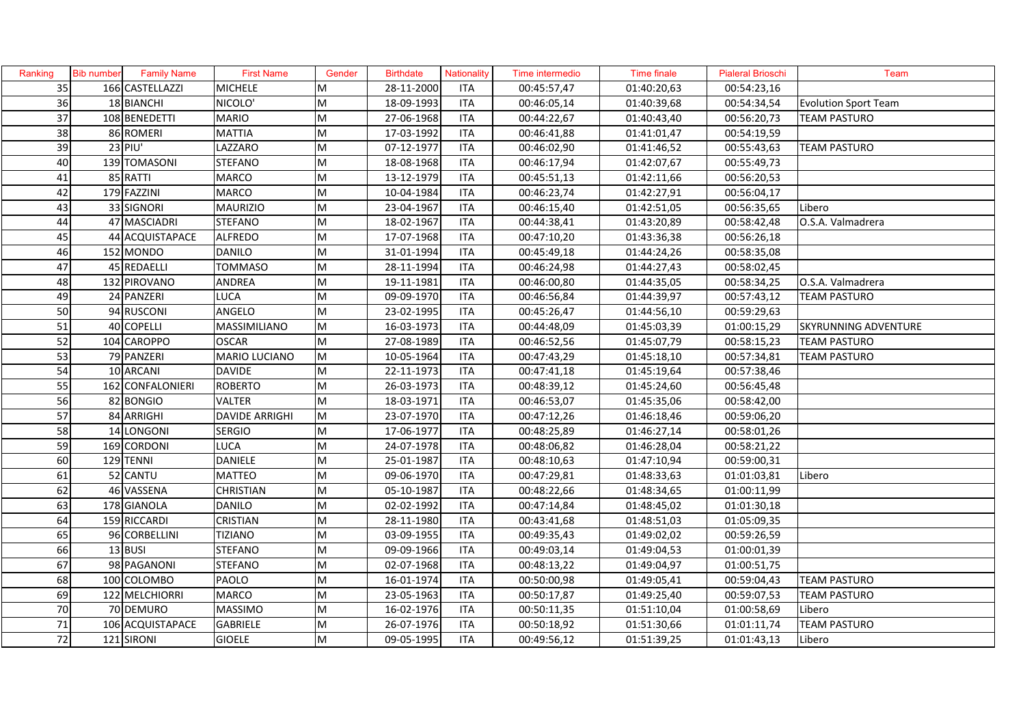| Ranking | <b>Bib number</b> | Family Name      | <b>First Name</b>     | Gender | <b>Birthdate</b> | Nationality | Time intermedio | <b>Time finale</b> | <b>Pialeral Brioschi</b> | Team                        |
|---------|-------------------|------------------|-----------------------|--------|------------------|-------------|-----------------|--------------------|--------------------------|-----------------------------|
| 35      |                   | 166 CASTELLAZZI  | <b>MICHELE</b>        | M      | 28-11-2000       | <b>ITA</b>  | 00:45:57,47     | 01:40:20,63        | 00:54:23,16              |                             |
| 36      |                   | 18 BIANCHI       | NICOLO'               | M      | 18-09-1993       | <b>ITA</b>  | 00:46:05,14     | 01:40:39,68        | 00:54:34,54              | <b>Evolution Sport Team</b> |
| 37      |                   | 108 BENEDETTI    | <b>MARIO</b>          | M      | 27-06-1968       | <b>ITA</b>  | 00:44:22,67     | 01:40:43,40        | 00:56:20,73              | <b>TEAM PASTURO</b>         |
| 38      |                   | 86 ROMERI        | <b>MATTIA</b>         | M      | 17-03-1992       | <b>ITA</b>  | 00:46:41,88     | 01:41:01,47        | 00:54:19,59              |                             |
| 39      |                   | 23 PIU'          | LAZZARO               | M      | 07-12-1977       | <b>ITA</b>  | 00:46:02,90     | 01:41:46,52        | 00:55:43,63              | <b>TEAM PASTURO</b>         |
| 40      |                   | 139 TOMASONI     | <b>STEFANO</b>        | M      | 18-08-1968       | <b>ITA</b>  | 00:46:17,94     | 01:42:07,67        | 00:55:49,73              |                             |
| 41      |                   | 85 RATTI         | <b>MARCO</b>          | M      | 13-12-1979       | ITA         | 00:45:51,13     | 01:42:11,66        | 00:56:20,53              |                             |
| 42      |                   | 179 FAZZINI      | <b>MARCO</b>          | M      | 10-04-1984       | ITA         | 00:46:23,74     | 01:42:27,91        | 00:56:04,17              |                             |
| 43      |                   | 33 SIGNORI       | <b>MAURIZIO</b>       | M      | 23-04-1967       | <b>ITA</b>  | 00:46:15,40     | 01:42:51,05        | 00:56:35,65              | Libero                      |
| 44      |                   | 47 MASCIADRI     | <b>STEFANO</b>        | M      | 18-02-1967       | <b>ITA</b>  | 00:44:38,41     | 01:43:20,89        | 00:58:42,48              | O.S.A. Valmadrera           |
| 45      |                   | 44 ACQUISTAPACE  | <b>ALFREDO</b>        | M      | 17-07-1968       | <b>ITA</b>  | 00:47:10,20     | 01:43:36,38        | 00:56:26,18              |                             |
| 46      |                   | 152 MONDO        | <b>DANILO</b>         | M      | 31-01-1994       | <b>ITA</b>  | 00:45:49,18     | 01:44:24,26        | 00:58:35,08              |                             |
| 47      |                   | 45 REDAELLI      | <b>TOMMASO</b>        | M      | 28-11-1994       | <b>ITA</b>  | 00:46:24,98     | 01:44:27,43        | 00:58:02,45              |                             |
| 48      |                   | 132 PIROVANO     | <b>ANDREA</b>         | M      | 19-11-1981       | <b>ITA</b>  | 00:46:00,80     | 01:44:35,05        | 00:58:34,25              | O.S.A. Valmadrera           |
| 49      |                   | 24 PANZERI       | <b>LUCA</b>           | M      | 09-09-1970       | <b>ITA</b>  | 00:46:56,84     | 01:44:39,97        | 00:57:43,12              | <b>TEAM PASTURO</b>         |
| 50      |                   | 94 RUSCONI       | ANGELO                | M      | 23-02-1995       | <b>ITA</b>  | 00:45:26,47     | 01:44:56,10        | 00:59:29,63              |                             |
| 51      |                   | 40 COPELLI       | MASSIMILIANO          | M      | 16-03-1973       | <b>ITA</b>  | 00:44:48,09     | 01:45:03,39        | 01:00:15,29              | SKYRUNNING ADVENTURE        |
| 52      |                   | 104 CAROPPO      | <b>OSCAR</b>          | M      | 27-08-1989       | <b>ITA</b>  | 00:46:52,56     | 01:45:07,79        | 00:58:15,23              | <b>TEAM PASTURO</b>         |
| 53      |                   | 79 PANZERI       | <b>MARIO LUCIANO</b>  | M      | 10-05-1964       | <b>ITA</b>  | 00:47:43,29     | 01:45:18,10        | 00:57:34,81              | <b>TEAM PASTURO</b>         |
| 54      |                   | 10 ARCANI        | <b>DAVIDE</b>         | M      | 22-11-1973       | <b>ITA</b>  | 00:47:41,18     | 01:45:19,64        | 00:57:38,46              |                             |
| 55      |                   | 162 CONFALONIERI | <b>ROBERTO</b>        | M      | 26-03-1973       | <b>ITA</b>  | 00:48:39,12     | 01:45:24,60        | 00:56:45,48              |                             |
| 56      |                   | 82 BONGIO        | <b>VALTER</b>         | M      | 18-03-1971       | <b>ITA</b>  | 00:46:53,07     | 01:45:35,06        | 00:58:42,00              |                             |
| 57      |                   | 84 ARRIGHI       | <b>DAVIDE ARRIGHI</b> | M      | 23-07-1970       | <b>ITA</b>  | 00:47:12,26     | 01:46:18,46        | 00:59:06,20              |                             |
| 58      |                   | 14 LONGONI       | <b>SERGIO</b>         | M      | 17-06-1977       | <b>ITA</b>  | 00:48:25,89     | 01:46:27,14        | 00:58:01,26              |                             |
| 59      |                   | 169 CORDONI      | LUCA                  | M      | 24-07-1978       | <b>ITA</b>  | 00:48:06,82     | 01:46:28,04        | 00:58:21,22              |                             |
| 60      |                   | 129 TENNI        | <b>DANIELE</b>        | M      | 25-01-1987       | ITA         | 00:48:10,63     | 01:47:10,94        | 00:59:00,31              |                             |
| 61      |                   | 52 CANTU         | <b>MATTEO</b>         | M      | 09-06-1970       | ITA         | 00:47:29,81     | 01:48:33,63        | 01:01:03,81              | Libero                      |
| 62      |                   | 46 VASSENA       | <b>CHRISTIAN</b>      | M      | 05-10-1987       | <b>ITA</b>  | 00:48:22,66     | 01:48:34,65        | 01:00:11,99              |                             |
| 63      |                   | 178 GIANOLA      | <b>DANILO</b>         | M      | 02-02-1992       | <b>ITA</b>  | 00:47:14,84     | 01:48:45,02        | 01:01:30,18              |                             |
| 64      |                   | 159 RICCARDI     | <b>CRISTIAN</b>       | M      | 28-11-1980       | <b>ITA</b>  | 00:43:41,68     | 01:48:51,03        | 01:05:09,35              |                             |
| 65      |                   | 96 CORBELLINI    | <b>TIZIANO</b>        | M      | 03-09-1955       | <b>ITA</b>  | 00:49:35,43     | 01:49:02,02        | 00:59:26,59              |                             |
| 66      |                   | $13$ BUSI        | <b>STEFANO</b>        | M      | 09-09-1966       | <b>ITA</b>  | 00:49:03,14     | 01:49:04,53        | 01:00:01,39              |                             |
| 67      |                   | 98 PAGANONI      | <b>STEFANO</b>        | M      | 02-07-1968       | ITA         | 00:48:13,22     | 01:49:04,97        | 01:00:51,75              |                             |
| 68      |                   | 100 COLOMBO      | <b>PAOLO</b>          | M      | 16-01-1974       | <b>ITA</b>  | 00:50:00,98     | 01:49:05,41        | 00:59:04,43              | <b>TEAM PASTURO</b>         |
| 69      |                   | 122 MELCHIORRI   | <b>MARCO</b>          | M      | 23-05-1963       | <b>ITA</b>  | 00:50:17,87     | 01:49:25,40        | 00:59:07,53              | <b>TEAM PASTURO</b>         |
| 70      |                   | 70 DEMURO        | <b>MASSIMO</b>        | M      | 16-02-1976       | <b>ITA</b>  | 00:50:11,35     | 01:51:10,04        | 01:00:58,69              | Libero                      |
| 71      |                   | 106 ACQUISTAPACE | <b>GABRIELE</b>       | M      | 26-07-1976       | <b>ITA</b>  | 00:50:18,92     | 01:51:30,66        | 01:01:11,74              | <b>TEAM PASTURO</b>         |
| 72      |                   | 121 SIRONI       | <b>GIOELE</b>         | M      | 09-05-1995       | <b>ITA</b>  | 00:49:56,12     | 01:51:39,25        | 01:01:43,13              | Libero                      |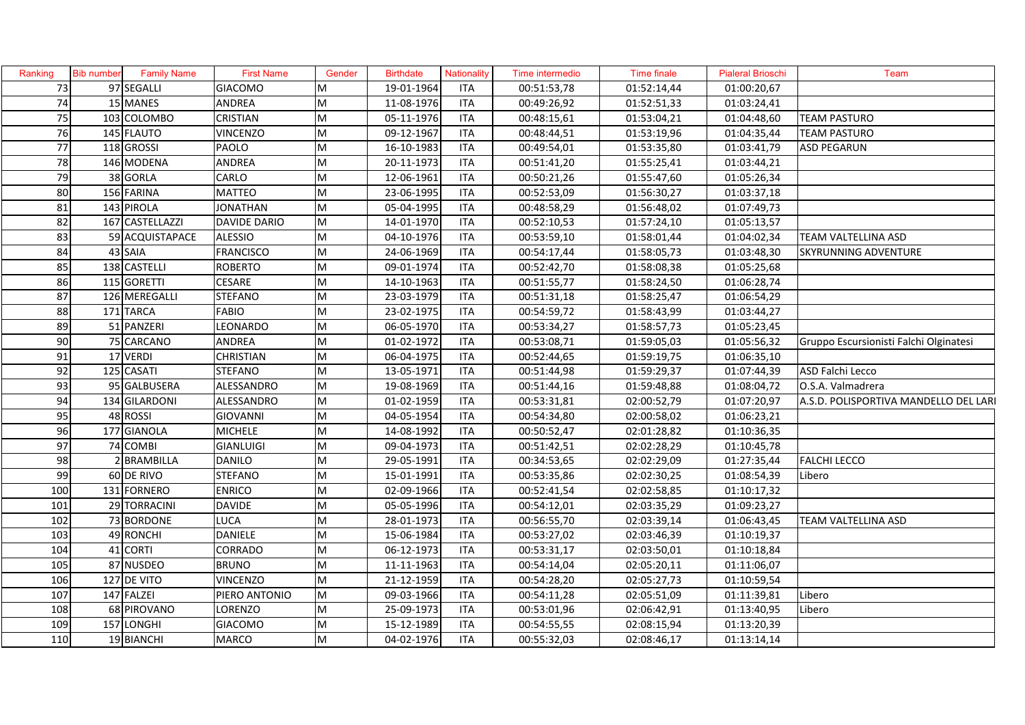| Ranking         | <b>Bib number</b> | <b>Family Name</b> | <b>First Name</b>   | Gender | <b>Birthdate</b> | Nationality | Time intermedio | Time finale | <b>Pialeral Brioschi</b> | Team                                   |
|-----------------|-------------------|--------------------|---------------------|--------|------------------|-------------|-----------------|-------------|--------------------------|----------------------------------------|
| 73              |                   | 97 SEGALLI         | <b>GIACOMO</b>      | M      | 19-01-1964       | <b>ITA</b>  | 00:51:53,78     | 01:52:14,44 | 01:00:20,67              |                                        |
| $\overline{74}$ |                   | 15 MANES           | ANDREA              | M      | 11-08-1976       | <b>ITA</b>  | 00:49:26,92     | 01:52:51,33 | 01:03:24,41              |                                        |
| 75              |                   | 103 COLOMBO        | <b>CRISTIAN</b>     | M      | 05-11-1976       | <b>ITA</b>  | 00:48:15,61     | 01:53:04,21 | 01:04:48,60              | <b>TEAM PASTURO</b>                    |
| 76              |                   | 145 FLAUTO         | <b>VINCENZO</b>     | M      | 09-12-1967       | <b>ITA</b>  | 00:48:44,51     | 01:53:19,96 | 01:04:35,44              | <b>TEAM PASTURO</b>                    |
| 77              |                   | 118 GROSSI         | PAOLO               | M      | 16-10-1983       | <b>ITA</b>  | 00:49:54,01     | 01:53:35,80 | 01:03:41,79              | <b>ASD PEGARUN</b>                     |
| $\overline{78}$ |                   | 146 MODENA         | ANDREA              | M      | 20-11-1973       | <b>ITA</b>  | 00:51:41,20     | 01:55:25,41 | 01:03:44,21              |                                        |
| 79              |                   | 38 GORLA           | CARLO               | M      | 12-06-1961       | <b>ITA</b>  | 00:50:21,26     | 01:55:47,60 | 01:05:26,34              |                                        |
| 80              |                   | 156 FARINA         | <b>MATTEO</b>       | M      | 23-06-1995       | <b>ITA</b>  | 00:52:53,09     | 01:56:30,27 | 01:03:37,18              |                                        |
| 81              |                   | 143 PIROLA         | <b>JONATHAN</b>     | M      | 05-04-1995       | <b>ITA</b>  | 00:48:58,29     | 01:56:48,02 | 01:07:49,73              |                                        |
| 82              |                   | 167 CASTELLAZZI    | <b>DAVIDE DARIO</b> | M      | 14-01-1970       | <b>ITA</b>  | 00:52:10,53     | 01:57:24,10 | 01:05:13,57              |                                        |
| 83              |                   | 59 ACQUISTAPACE    | <b>ALESSIO</b>      | M      | 04-10-1976       | <b>ITA</b>  | 00:53:59,10     | 01:58:01,44 | 01:04:02,34              | <b>TEAM VALTELLINA ASD</b>             |
| 84              |                   | 43 SAIA            | FRANCISCO           | M      | 24-06-1969       | <b>ITA</b>  | 00:54:17,44     | 01:58:05,73 | 01:03:48,30              | <b>SKYRUNNING ADVENTURE</b>            |
| 85              |                   | 138 CASTELLI       | <b>ROBERTO</b>      | M      | 09-01-1974       | <b>ITA</b>  | 00:52:42,70     | 01:58:08,38 | 01:05:25,68              |                                        |
| 86              |                   | 115 GORETTI        | <b>CESARE</b>       | M      | 14-10-1963       | <b>ITA</b>  | 00:51:55,77     | 01:58:24,50 | 01:06:28,74              |                                        |
| 87              |                   | 126 MEREGALLI      | <b>STEFANO</b>      | M      | 23-03-1979       | <b>ITA</b>  | 00:51:31,18     | 01:58:25,47 | 01:06:54,29              |                                        |
| 88              |                   | 171 TARCA          | <b>FABIO</b>        | M      | 23-02-1975       | <b>ITA</b>  | 00:54:59,72     | 01:58:43,99 | 01:03:44,27              |                                        |
| 89              |                   | 51 PANZERI         | LEONARDO            | M      | 06-05-1970       | <b>ITA</b>  | 00:53:34,27     | 01:58:57,73 | 01:05:23,45              |                                        |
| 90              |                   | 75 CARCANO         | <b>ANDREA</b>       | M      | 01-02-1972       | <b>ITA</b>  | 00:53:08,71     | 01:59:05,03 | 01:05:56,32              | Gruppo Escursionisti Falchi Olginatesi |
| $\overline{91}$ |                   | 17 VERDI           | <b>CHRISTIAN</b>    | M      | 06-04-1975       | <b>ITA</b>  | 00:52:44,65     | 01:59:19,75 | 01:06:35,10              |                                        |
| 92              |                   | 125 CASATI         | <b>STEFANO</b>      | M      | 13-05-1971       | <b>ITA</b>  | 00:51:44,98     | 01:59:29,37 | 01:07:44,39              | ASD Falchi Lecco                       |
| 93              |                   | 95 GALBUSERA       | ALESSANDRO          | M      | 19-08-1969       | <b>ITA</b>  | 00:51:44,16     | 01:59:48,88 | 01:08:04,72              | O.S.A. Valmadrera                      |
| 94              |                   | 134 GILARDONI      | ALESSANDRO          | M      | 01-02-1959       | <b>ITA</b>  | 00:53:31,81     | 02:00:52,79 | 01:07:20,97              | A.S.D. POLISPORTIVA MANDELLO DEL LARI  |
| 95              |                   | 48 ROSSI           | <b>GIOVANNI</b>     | M      | 04-05-1954       | <b>ITA</b>  | 00:54:34,80     | 02:00:58,02 | 01:06:23,21              |                                        |
| 96              |                   | 177 GIANOLA        | <b>MICHELE</b>      | M      | 14-08-1992       | <b>ITA</b>  | 00:50:52,47     | 02:01:28,82 | 01:10:36,35              |                                        |
| 97              |                   | 74 COMBI           | <b>GIANLUIGI</b>    | M      | 09-04-1973       | <b>ITA</b>  | 00:51:42,51     | 02:02:28,29 | 01:10:45,78              |                                        |
| 98              |                   | 2 BRAMBILLA        | <b>DANILO</b>       | M      | 29-05-1991       | <b>ITA</b>  | 00:34:53,65     | 02:02:29,09 | 01:27:35,44              | <b>FALCHI LECCO</b>                    |
| 99              |                   | 60 DE RIVO         | <b>STEFANO</b>      | M      | 15-01-1991       | <b>ITA</b>  | 00:53:35,86     | 02:02:30,25 | 01:08:54,39              | Libero                                 |
| 100             |                   | 131 FORNERO        | <b>ENRICO</b>       | M      | 02-09-1966       | <b>ITA</b>  | 00:52:41,54     | 02:02:58,85 | 01:10:17,32              |                                        |
| 101             |                   | 29 TORRACINI       | <b>DAVIDE</b>       | M      | 05-05-1996       | <b>ITA</b>  | 00:54:12,01     | 02:03:35,29 | 01:09:23,27              |                                        |
| 102             |                   | 73 BORDONE         | LUCA                | M      | 28-01-1973       | <b>ITA</b>  | 00:56:55,70     | 02:03:39,14 | 01:06:43,45              | TEAM VALTELLINA ASD                    |
| 103             |                   | 49 RONCHI          | DANIELE             | M      | 15-06-1984       | <b>ITA</b>  | 00:53:27,02     | 02:03:46,39 | 01:10:19,37              |                                        |
| 104             |                   | 41 CORTI           | CORRADO             | M      | 06-12-1973       | <b>ITA</b>  | 00:53:31,17     | 02:03:50,01 | 01:10:18,84              |                                        |
| 105             |                   | 87 NUSDEO          | <b>BRUNO</b>        | M      | 11-11-1963       | ITA         | 00:54:14,04     | 02:05:20,11 | 01:11:06,07              |                                        |
| 106             |                   | 127 DE VITO        | <b>VINCENZO</b>     | M      | 21-12-1959       | <b>ITA</b>  | 00:54:28,20     | 02:05:27,73 | 01:10:59,54              |                                        |
| 107             |                   | 147 FALZEI         | PIERO ANTONIO       | M      | 09-03-1966       | <b>ITA</b>  | 00:54:11,28     | 02:05:51,09 | 01:11:39,81              | Libero                                 |
| 108             |                   | 68 PIROVANO        | LORENZO             | M      | 25-09-1973       | <b>ITA</b>  | 00:53:01,96     | 02:06:42,91 | 01:13:40,95              | Libero                                 |
| 109             |                   | 157 LONGHI         | <b>GIACOMO</b>      | M      | 15-12-1989       | <b>ITA</b>  | 00:54:55,55     | 02:08:15,94 | 01:13:20,39              |                                        |
| 110             |                   | 19 BIANCHI         | <b>MARCO</b>        | M      | 04-02-1976       | <b>ITA</b>  | 00:55:32,03     | 02:08:46,17 | 01:13:14,14              |                                        |